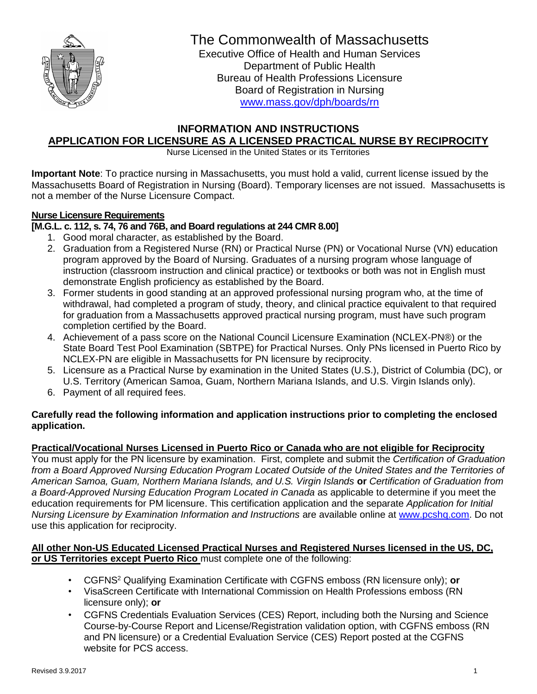

# The Commonwealth of Massachusetts

Executive Office of Health and Human Services Department of Public Health Bureau of Health Professions Licensure Board of Registration in Nursing [www.mass.gov/dph/boards/rn](http://www.mass.gov/dph/boards/rn)

## **INFORMATION AND INSTRUCTIONS APPLICATION FOR LICENSURE AS A LICENSED PRACTICAL NURSE BY RECIPROCITY**

Nurse Licensed in the United States or its Territories

**Important Note**: To practice nursing in Massachusetts, you must hold a valid, current license issued by the Massachusetts Board of Registration in Nursing (Board). Temporary licenses are not issued. Massachusetts is not a member of the Nurse Licensure Compact.

## **Nurse Licensure Requirements**

**[M.G.L. c. 112, s. 74, 76 and 76B, and Board regulations at 244 CMR 8.00]**

- 1. Good moral character, as established by the Board.
- 2. Graduation from a Registered Nurse (RN) or Practical Nurse (PN) or Vocational Nurse (VN) education program approved by the Board of Nursing. Graduates of a nursing program whose language of instruction (classroom instruction and clinical practice) or textbooks or both was not in English must demonstrate English proficiency as established by the Board.
- 3. Former students in good standing at an approved professional nursing program who, at the time of withdrawal, had completed a program of study, theory, and clinical practice equivalent to that required for graduation from a Massachusetts approved practical nursing program, must have such program completion certified by the Board.
- 4. Achievement of a pass score on the National Council Licensure Examination (NCLEX-PN®) or the State Board Test Pool Examination (SBTPE) for Practical Nurses. Only PNs licensed in Puerto Rico by NCLEX-PN are eligible in Massachusetts for PN licensure by reciprocity.
- 5. Licensure as a Practical Nurse by examination in the United States (U.S.), District of Columbia (DC), or U.S. Territory (American Samoa, Guam, Northern Mariana Islands, and U.S. Virgin Islands only).
- 6. Payment of all required fees.

#### **Carefully read the following information and application instructions prior to completing the enclosed application.**

## **Practical/Vocational Nurses Licensed in Puerto Rico or Canada who are not eligible for Reciprocity**

You must apply for the PN licensure by examination. First, complete and submit the *Certification of Graduation from a Board Approved Nursing Education Program Located Outside of the United States and the Territories of American Samoa, Guam, Northern Mariana Islands, and U.S. Virgin Islands* **or** *Certification of Graduation from a Board-Approved Nursing Education Program Located in Canada* as applicable to determine if you meet the education requirements for PM licensure. This certification application and the separate *Application for Initial Nursing Licensure by Examination Information and Instructions* are available online at [www.pcshq.com.](http://www.pcshq.com/) Do not use this application for reciprocity.

#### **All other Non-US Educated Licensed Practical Nurses and Registered Nurses licensed in the US, DC, or US Territories except Puerto Rico** must complete one of the following:

- CGFNS <sup>2</sup> Qualifying Examination Certificate with CGFNS emboss (RN licensure only); **or**
- VisaScreen Certificate with International Commission on Health Professions emboss (RN licensure only); **or**
- CGFNS Credentials Evaluation Services (CES) Report, including both the Nursing and Science Course-by-Course Report and License/Registration validation option, with CGFNS emboss (RN and PN licensure) or a Credential Evaluation Service (CES) Report posted at the CGFNS website for PCS access.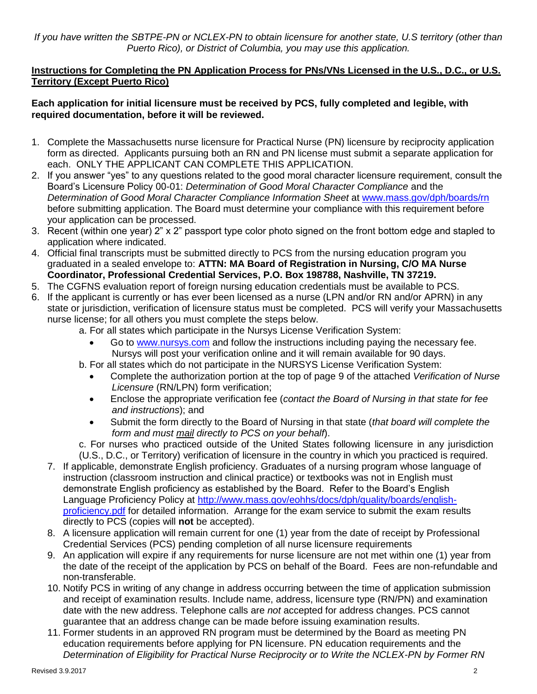*If you have written the SBTPE-PN or NCLEX-PN to obtain licensure for another state, U.S territory (other than Puerto Rico), or District of Columbia, you may use this application.*

### **Instructions for Completing the PN Application Process for PNs/VNs Licensed in the U.S., D.C., or U.S. Territory (Except Puerto Rico)**

#### **Each application for initial licensure must be received by PCS, fully completed and legible, with required documentation, before it will be reviewed.**

- 1. Complete the Massachusetts nurse licensure for Practical Nurse (PN) licensure by reciprocity application form as directed. Applicants pursuing both an RN and PN license must submit a separate application for each. ONLY THE APPLICANT CAN COMPLETE THIS APPLICATION.
- 2. If you answer "yes" to any questions related to the good moral character licensure requirement, consult the Board's Licensure Policy 00-01: *Determination of Good Moral Character Compliance* and the *Determination of Good Moral Character Compliance Information Sheet* at [www.mass.gov/dph/boards/rn](http://www.mass.gov/dph/boards/rn) before submitting application. The Board must determine your compliance with this requirement before your application can be processed.
- 3. Recent (within one year) 2" x 2" passport type color photo signed on the front bottom edge and stapled to application where indicated.
- 4. Official final transcripts must be submitted directly to PCS from the nursing education program you graduated in a sealed envelope to: **ATTN: MA Board of Registration in Nursing, C/O MA Nurse Coordinator, Professional Credential Services, P.O. Box 198788, Nashville, TN 37219.**
- 5. The CGFNS evaluation report of foreign nursing education credentials must be available to PCS.
- 6. If the applicant is currently or has ever been licensed as a nurse (LPN and/or RN and/or APRN) in any state or jurisdiction, verification of licensure status must be completed. PCS will verify your Massachusetts nurse license; for all others you must complete the steps below.
	- a. For all states which participate in the Nursys License Verification System:
		- Go to [www.nursys.com](http://www.nursys.com/) and follow the instructions including paying the necessary fee. Nursys will post your verification online and it will remain available for 90 days.
	- b. For all states which do not participate in the NURSYS License Verification System:
		- Complete the authorization portion at the top of page 9 of the attached *Verification of Nurse Licensure* (RN/LPN) form verification;
		- Enclose the appropriate verification fee (*contact the Board of Nursing in that state for fee and instructions*); and
		- Submit the form directly to the Board of Nursing in that state (*that board will complete the form and must mail directly to PCS on your behalf*).
	- c. For nurses who practiced outside of the United States following licensure in any jurisdiction (U.S., D.C., or Territory) verification of licensure in the country in which you practiced is required.
	- 7. If applicable, demonstrate English proficiency. Graduates of a nursing program whose language of instruction (classroom instruction and clinical practice) or textbooks was not in English must demonstrate English proficiency as established by the Board. Refer to the Board's English Language Proficiency Policy at [http://www.mass.gov/eohhs/docs/dph/quality/boards/english](http://www.mass.gov/eohhs/docs/dph/quality/boards/english-proficiency.pdf)[proficiency.pdf](http://www.mass.gov/eohhs/docs/dph/quality/boards/english-proficiency.pdf) for detailed information. Arrange for the exam service to submit the exam results directly to PCS (copies will **not** be accepted).
	- 8. A licensure application will remain current for one (1) year from the date of receipt by Professional Credential Services (PCS) pending completion of all nurse licensure requirements
	- 9. An application will expire if any requirements for nurse licensure are not met within one (1) year from the date of the receipt of the application by PCS on behalf of the Board. Fees are non-refundable and non-transferable.
	- 10. Notify PCS in writing of any change in address occurring between the time of application submission and receipt of examination results. Include name, address, licensure type (RN/PN) and examination date with the new address. Telephone calls are *not* accepted for address changes. PCS cannot guarantee that an address change can be made before issuing examination results.
	- 11. Former students in an approved RN program must be determined by the Board as meeting PN education requirements before applying for PN licensure. PN education requirements and the *Determination of Eligibility for Practical Nurse Reciprocity or to Write the NCLEX-PN by Former RN*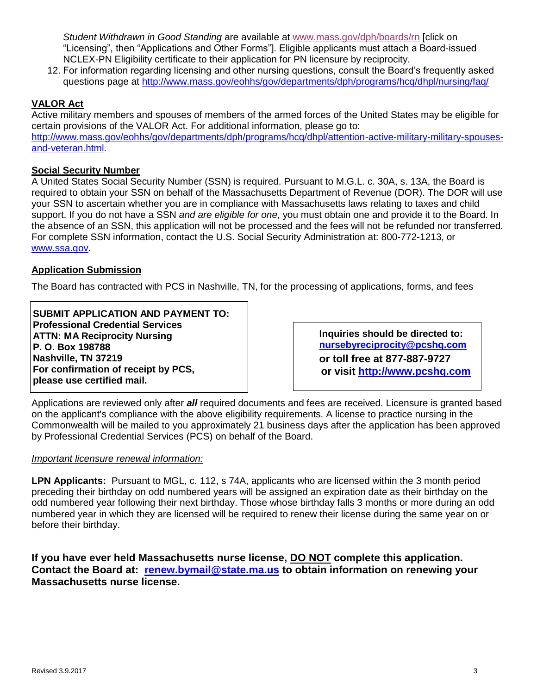*Student Withdrawn in Good Standing* are available at [www.mass.gov/dph/boards/rn](http://www.mass.gov/dph/boards/rn) [click on "Licensing", then "Applications and Other Forms"]. Eligible applicants must attach a Board-issued NCLEX-PN Eligibility certificate to their application for PN licensure by reciprocity.

12. For information regarding licensing and other nursing questions, consult the Board's frequently asked questions page at<http://www.mass.gov/eohhs/gov/departments/dph/programs/hcq/dhpl/nursing/faq/>

### **VALOR Act**

[and-veteran.html.](http://www.mass.gov/eohhs/gov/departments/dph/programs/hcq/dhpl/attention-active-military-military-spouses-and-veteran.html)

Active military members and spouses of members of the armed forces of the United States may be eligible for certain provisions of the VALOR Act. For additional information, please go to: [http://www.mass.gov/eohhs/gov/departments/dph/programs/hcq/dhpl/attention-active-military-military-spouses-](http://www.mass.gov/eohhs/gov/departments/dph/programs/hcq/dhpl/attention-active-military-military-spouses-and-veteran.html)

#### **Social Security Number**

A United States Social Security Number (SSN) is required. Pursuant to M.G.L. c. 30A, s. 13A, the Board is required to obtain your SSN on behalf of the Massachusetts Department of Revenue (DOR). The DOR will use your SSN to ascertain whether you are in compliance with Massachusetts laws relating to taxes and child support. If you do not have a SSN *and are eligible for one*, you must obtain one and provide it to the Board. In the absence of an SSN, this application will not be processed and the fees will not be refunded nor transferred. For complete SSN information, contact the U.S. Social Security Administration at: 800-772-1213, or [www.ssa.gov.](http://www.ssa.gov/)

#### **Application Submission**

The Board has contracted with PCS in Nashville, TN, for the processing of applications, forms, and fees

**SUBMIT APPLICATION AND PAYMENT TO: Professional Credential Services ATTN: MA Reciprocity Nursing P. O. Box 198788 Nashville, TN 37219 For confirmation of receipt by PCS, please use certified mail.**

**Inquiries should be directed to: [nursebyreciprocity@pcshq.com](mailto:nursebyreciprocity@pcshq.com) or toll free at 877-887-9727 or visit [http://www.pcshq.com](http://www.pcshq.com/)**

Applications are reviewed only after *all* required documents and fees are received. Licensure is granted based on the applicant's compliance with the above eligibility requirements. A license to practice nursing in the Commonwealth will be mailed to you approximately 21 business days after the application has been approved by Professional Credential Services (PCS) on behalf of the Board.

#### *Important licensure renewal information:*

**LPN Applicants:** Pursuant to MGL, c. 112, s 74A, applicants who are licensed within the 3 month period preceding their birthday on odd numbered years will be assigned an expiration date as their birthday on the odd numbered year following their next birthday. Those whose birthday falls 3 months or more during an odd numbered year in which they are licensed will be required to renew their license during the same year on or before their birthday.

**If you have ever held Massachusetts nurse license, DO NOT complete this application. Contact the Board at: [renew.bymail@state.ma.us](mailto:renew.bymail@state.ma.us) to obtain information on renewing your Massachusetts nurse license.**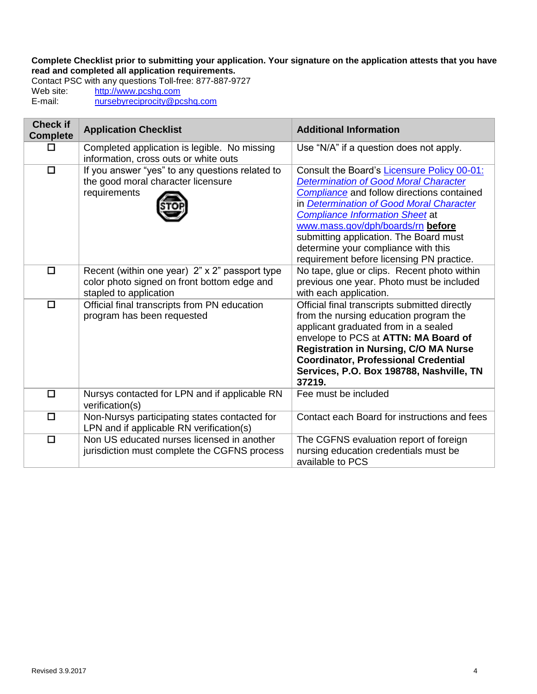**Complete Checklist prior to submitting your application. Your signature on the application attests that you have read and completed all application requirements.**

Contact PSC with any questions Toll-free: 877-887-9727<br>Web site: http://www.pcshq.com Web site: [http://www.pcshq.com](http://www.pcshq.com/)<br>E-mail: hursebyreciprocity@po [nursebyreciprocity@pcshq.com](mailto:nursebyreciprocity@pcshq.com)

| <b>Check if</b><br><b>Complete</b> | <b>Application Checklist</b>                                                                                            | <b>Additional Information</b>                                                                                                                                                                                                                                                                                                                                                                                    |
|------------------------------------|-------------------------------------------------------------------------------------------------------------------------|------------------------------------------------------------------------------------------------------------------------------------------------------------------------------------------------------------------------------------------------------------------------------------------------------------------------------------------------------------------------------------------------------------------|
| П                                  | Completed application is legible. No missing<br>information, cross outs or white outs                                   | Use "N/A" if a question does not apply.                                                                                                                                                                                                                                                                                                                                                                          |
| $\Box$                             | If you answer "yes" to any questions related to<br>the good moral character licensure<br>requirements                   | Consult the Board's Licensure Policy 00-01:<br><b>Determination of Good Moral Character</b><br><b>Compliance</b> and follow directions contained<br>in <b>Determination of Good Moral Character</b><br><b>Compliance Information Sheet at</b><br>www.mass.gov/dph/boards/rn before<br>submitting application. The Board must<br>determine your compliance with this<br>requirement before licensing PN practice. |
| $\Box$                             | Recent (within one year) 2" x 2" passport type<br>color photo signed on front bottom edge and<br>stapled to application | No tape, glue or clips. Recent photo within<br>previous one year. Photo must be included<br>with each application.                                                                                                                                                                                                                                                                                               |
| $\Box$                             | Official final transcripts from PN education<br>program has been requested                                              | Official final transcripts submitted directly<br>from the nursing education program the<br>applicant graduated from in a sealed<br>envelope to PCS at ATTN: MA Board of<br><b>Registration in Nursing, C/O MA Nurse</b><br><b>Coordinator, Professional Credential</b><br>Services, P.O. Box 198788, Nashville, TN<br>37219.                                                                                     |
| $\Box$                             | Nursys contacted for LPN and if applicable RN<br>verification(s)                                                        | Fee must be included                                                                                                                                                                                                                                                                                                                                                                                             |
| $\Box$                             | Non-Nursys participating states contacted for<br>LPN and if applicable RN verification(s)                               | Contact each Board for instructions and fees                                                                                                                                                                                                                                                                                                                                                                     |
| $\Box$                             | Non US educated nurses licensed in another<br>jurisdiction must complete the CGFNS process                              | The CGFNS evaluation report of foreign<br>nursing education credentials must be<br>available to PCS                                                                                                                                                                                                                                                                                                              |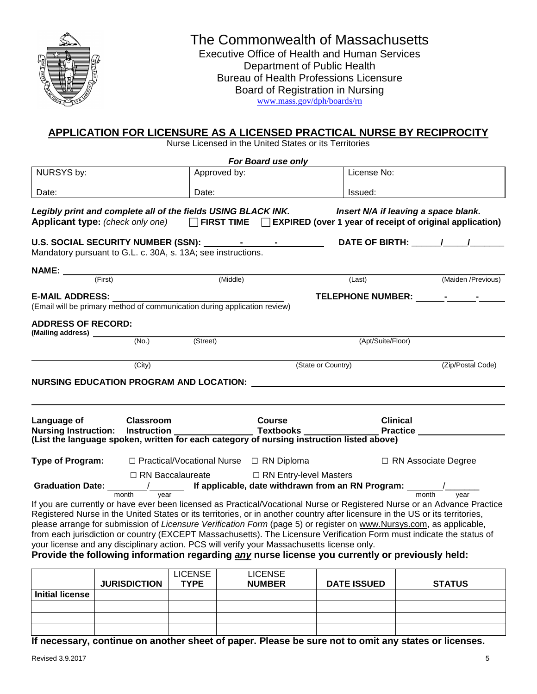

# The Commonwealth of Massachusetts

Executive Office of Health and Human Services Department of Public Health Bureau of Health Professions Licensure Board of Registration in Nursing [www.mass.gov/dph/boards/rn](http://www.mass.gov/dph/boards/rn)

## **APPLICATION FOR LICENSURE AS A LICENSED PRACTICAL NURSE BY RECIPROCITY**

Nurse Licensed in the United States or its Territories

|                                                                                                                                                                               |                    |                | For Board use only                                  |                                                                                                                               |                                                                                                                                                            |
|-------------------------------------------------------------------------------------------------------------------------------------------------------------------------------|--------------------|----------------|-----------------------------------------------------|-------------------------------------------------------------------------------------------------------------------------------|------------------------------------------------------------------------------------------------------------------------------------------------------------|
| NURSYS by:                                                                                                                                                                    |                    | Approved by:   |                                                     | License No:                                                                                                                   |                                                                                                                                                            |
|                                                                                                                                                                               |                    | Date:          |                                                     |                                                                                                                               |                                                                                                                                                            |
| Date:                                                                                                                                                                         |                    |                |                                                     | Issued:                                                                                                                       |                                                                                                                                                            |
| Legibly print and complete all of the fields USING BLACK INK.                                                                                                                 |                    |                |                                                     |                                                                                                                               | Insert N/A if leaving a space blank.<br>Applicant type: (check only one) $\Box$ FIRST TIME $\Box$ EXPIRED (over 1 year of receipt of original application) |
| U.S. SOCIAL SECURITY NUMBER (SSN): 1994 - 1994 - 1994 - 1994 - 1994 - 1995 - 1994 - 1995 - 1996 - 1997 - 1997<br>Mandatory pursuant to G.L. c. 30A, s. 13A; see instructions. |                    |                |                                                     |                                                                                                                               | DATE OF BIRTH: $\sqrt{2}$                                                                                                                                  |
|                                                                                                                                                                               |                    |                |                                                     |                                                                                                                               |                                                                                                                                                            |
| (First)                                                                                                                                                                       |                    | Middle)        |                                                     | (Last)                                                                                                                        | (Maiden /Previous)                                                                                                                                         |
| E-MAIL ADDRESS: ____                                                                                                                                                          |                    |                |                                                     |                                                                                                                               |                                                                                                                                                            |
| (Email will be primary method of communication during application review)                                                                                                     |                    |                |                                                     |                                                                                                                               |                                                                                                                                                            |
| <b>ADDRESS OF RECORD:</b><br>(Mailing address) ________                                                                                                                       |                    |                |                                                     |                                                                                                                               |                                                                                                                                                            |
|                                                                                                                                                                               | (No.)              | (Street)       |                                                     | (Apt/Suite/Floor)                                                                                                             |                                                                                                                                                            |
|                                                                                                                                                                               | (City)             |                |                                                     | (State or Country)                                                                                                            | (Zip/Postal Code)                                                                                                                                          |
|                                                                                                                                                                               |                    |                |                                                     |                                                                                                                               |                                                                                                                                                            |
|                                                                                                                                                                               |                    |                |                                                     |                                                                                                                               |                                                                                                                                                            |
| Language of                                                                                                                                                                   | <b>Classroom</b>   |                | <b>Course</b>                                       |                                                                                                                               | <b>Clinical</b>                                                                                                                                            |
|                                                                                                                                                                               |                    |                |                                                     |                                                                                                                               |                                                                                                                                                            |
| <b>Type of Program:</b>                                                                                                                                                       |                    |                | $\Box$ Practical/Vocational Nurse $\Box$ RN Diploma |                                                                                                                               | □ RN Associate Degree                                                                                                                                      |
|                                                                                                                                                                               |                    |                | □ RN Baccalaureate □ RN Entry-level Masters         |                                                                                                                               |                                                                                                                                                            |
|                                                                                                                                                                               |                    |                |                                                     | Graduation Date: $\frac{1}{\text{month}}$ if applicable, date withdrawn from an RN Program: $\frac{1}{\text{month}}$ year     |                                                                                                                                                            |
|                                                                                                                                                                               |                    |                |                                                     |                                                                                                                               | If you are currently or have ever been licensed as Practical/Vocational Nurse or Registered Nurse or an Advance Practice                                   |
|                                                                                                                                                                               |                    |                |                                                     | Registered Nurse in the United States or its territories, or in another country after licensure in the US or its territories, |                                                                                                                                                            |
|                                                                                                                                                                               |                    |                |                                                     | please arrange for submission of Licensure Verification Form (page 5) or register on www.Nursys.com, as applicable,           |                                                                                                                                                            |
|                                                                                                                                                                               |                    |                |                                                     |                                                                                                                               | from each jurisdiction or country (EXCEPT Massachusetts). The Licensure Verification Form must indicate the status of                                      |
| your license and any disciplinary action. PCS will verify your Massachusetts license only.                                                                                    |                    |                |                                                     |                                                                                                                               |                                                                                                                                                            |
|                                                                                                                                                                               |                    |                |                                                     | Provide the following information regarding any nurse license you currently or previously held:                               |                                                                                                                                                            |
|                                                                                                                                                                               | <b>UDIODIATION</b> | <b>LICENSE</b> | <b>LICENSE</b>                                      | $R = 0$                                                                                                                       | <b>CTATUO</b>                                                                                                                                              |

|                        | <b>JURISDICTION</b> | ----------<br><b>TYPE</b> | <b>NUMBER</b> | <b>DATE ISSUED</b> | <b>STATUS</b> |
|------------------------|---------------------|---------------------------|---------------|--------------------|---------------|
| <b>Initial license</b> |                     |                           |               |                    |               |
|                        |                     |                           |               |                    |               |
|                        |                     |                           |               |                    |               |
|                        |                     |                           |               |                    |               |

**If necessary, continue on another sheet of paper. Please be sure not to omit any states or licenses.**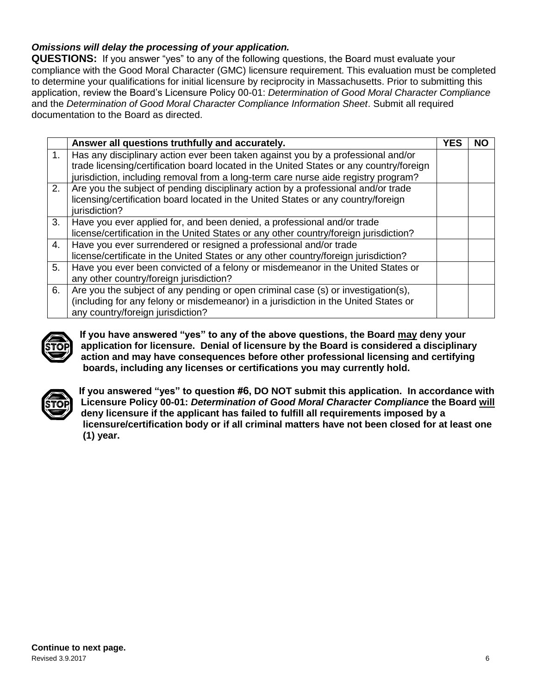## *Omissions will delay the processing of your application.*

**QUESTIONS:** If you answer "yes" to any of the following questions, the Board must evaluate your compliance with the Good Moral Character (GMC) licensure requirement. This evaluation must be completed to determine your qualifications for initial licensure by reciprocity in Massachusetts. Prior to submitting this application, review the Board's Licensure Policy 00-01: *Determination of Good Moral Character Compliance* and the *Determination of Good Moral Character Compliance Information Sheet*. Submit all required documentation to the Board as directed.

|    | Answer all questions truthfully and accurately.                                                    | <b>YES</b> | NO |
|----|----------------------------------------------------------------------------------------------------|------------|----|
| 1. | Has any disciplinary action ever been taken against you by a professional and/or                   |            |    |
|    | trade licensing/certification board located in the United States or any country/foreign            |            |    |
|    | jurisdiction, including removal from a long-term care nurse aide registry program?                 |            |    |
| 2. | Are you the subject of pending disciplinary action by a professional and/or trade                  |            |    |
|    | licensing/certification board located in the United States or any country/foreign<br>jurisdiction? |            |    |
| 3. | Have you ever applied for, and been denied, a professional and/or trade                            |            |    |
|    | license/certification in the United States or any other country/foreign jurisdiction?              |            |    |
| 4. | Have you ever surrendered or resigned a professional and/or trade                                  |            |    |
|    | license/certificate in the United States or any other country/foreign jurisdiction?                |            |    |
| 5. | Have you ever been convicted of a felony or misdemeanor in the United States or                    |            |    |
|    | any other country/foreign jurisdiction?                                                            |            |    |
| 6. | Are you the subject of any pending or open criminal case (s) or investigation(s),                  |            |    |
|    | (including for any felony or misdemeanor) in a jurisdiction in the United States or                |            |    |
|    | any country/foreign jurisdiction?                                                                  |            |    |



**If you have answered "yes" to any of the above questions, the Board may deny your application for licensure. Denial of licensure by the Board is considered a disciplinary action and may have consequences before other professional licensing and certifying boards, including any licenses or certifications you may currently hold.**



**If you answered "yes" to question #6, DO NOT submit this application. In accordance with Licensure Policy 00-01:** *Determination of Good Moral Character Compliance* **the Board will deny licensure if the applicant has failed to fulfill all requirements imposed by a licensure/certification body or if all criminal matters have not been closed for at least one (1) year.**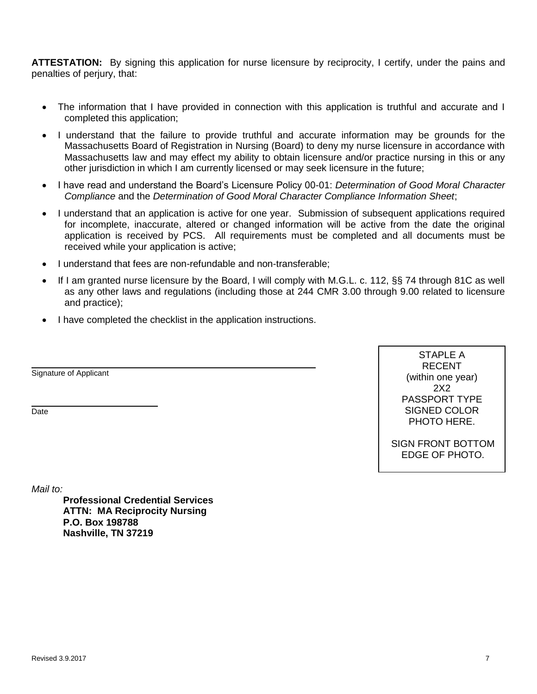**ATTESTATION:** By signing this application for nurse licensure by reciprocity, I certify, under the pains and penalties of perjury, that:

- The information that I have provided in connection with this application is truthful and accurate and I completed this application;
- I understand that the failure to provide truthful and accurate information may be grounds for the Massachusetts Board of Registration in Nursing (Board) to deny my nurse licensure in accordance with Massachusetts law and may effect my ability to obtain licensure and/or practice nursing in this or any other jurisdiction in which I am currently licensed or may seek licensure in the future;
- I have read and understand the Board's Licensure Policy 00-01: *Determination of Good Moral Character Compliance* and the *Determination of Good Moral Character Compliance Information Sheet*;
- I understand that an application is active for one year. Submission of subsequent applications required for incomplete, inaccurate, altered or changed information will be active from the date the original application is received by PCS. All requirements must be completed and all documents must be received while your application is active;
- I understand that fees are non-refundable and non-transferable;
- If I am granted nurse licensure by the Board, I will comply with M.G.L. c. 112, §§ 74 through 81C as well as any other laws and regulations (including those at 244 CMR 3.00 through 9.00 related to licensure and practice);

j.

• I have completed the checklist in the application instructions.

Signature of Applicant

**Date** 

STAPLE A RECENT (within one year) 2X2 PASSPORT TYPE SIGNED COLOR PHOTO HERE.

SIGN FRONT BOTTOM EDGE OF PHOTO.

*Mail to:*

**Professional Credential Services ATTN: MA Reciprocity Nursing P.O. Box 198788 Nashville, TN 37219**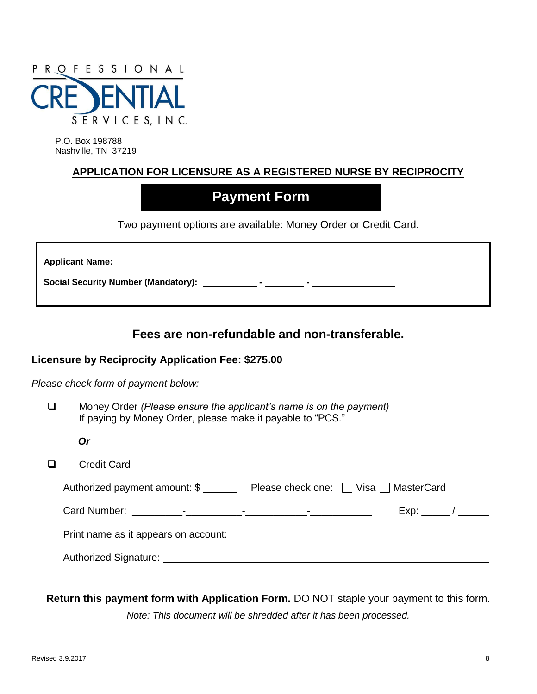

P.O. Box 198788 Nashville, TN 37219

## **APPLICATION FOR LICENSURE AS A REGISTERED NURSE BY RECIPROCITY**

# **Payment Form**

Two payment options are available: Money Order or Credit Card.

**Applicant Name:**

Social Security Number (Mandatory): \_\_\_\_\_\_\_\_\_\_\_\_- - \_\_\_\_\_\_\_\_

## **Fees are non-refundable and non-transferable.**

#### **Licensure by Reciprocity Application Fee: \$275.00**

*Please check form of payment below:*

- Money Order *(Please ensure the applicant's name is on the payment)* If paying by Money Order, please make it payable to "PCS."
	- *Or*
- □ Credit Card

| Authorized payment amount: \$        | Please check one: Visa MasterCard |
|--------------------------------------|-----------------------------------|
|                                      |                                   |
| Print name as it appears on account: |                                   |
| Authorized Signature: 1997 1997 1998 |                                   |

**Return this payment form with Application Form.** DO NOT staple your payment to this form.

*Note: This document will be shredded after it has been processed.*